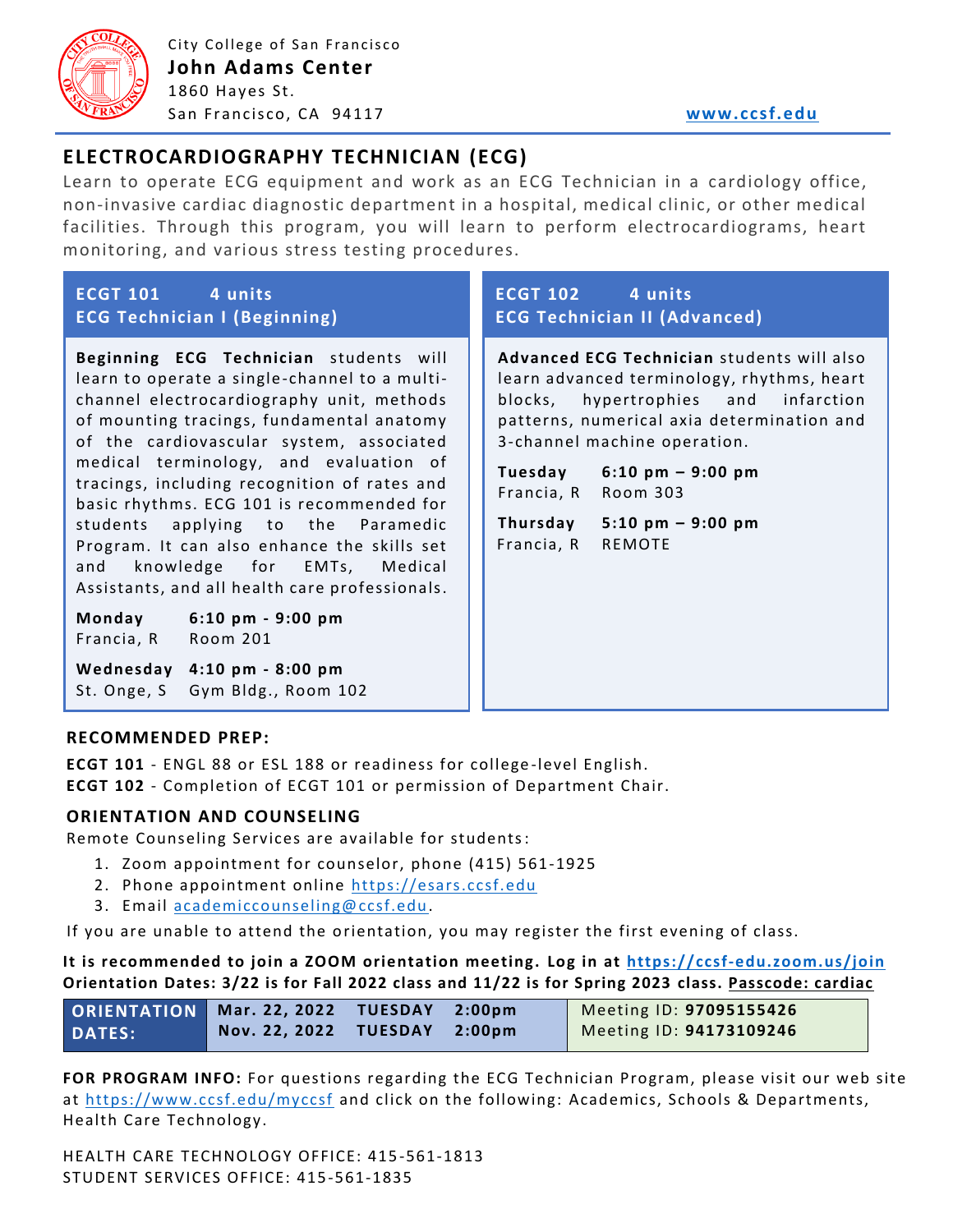

City College of San Francisco **John Adams Center** 1860 Hayes St. San Francisco, CA 94117 **[www.ccsf.edu](http://www.ccsf.edu/)** 

# **ELECTROCARDIOGRAPHY TECHNICIAN (ECG)**

Learn to operate ECG equipment and work as an ECG Technician in a cardiology office, non-invasive cardiac diagnostic department in a hospital, medical clinic, or other medical facilities. Through this program, you will learn to perform electrocardiograms, heart monitoring, and various stress testing procedures.

| ECGT 101 4 units                                                                                                                                                                                                                                                                                                                                                                                                                                                                                                                                                                                                                                                          | ECGT 102 4 units                                                                                                                                                                                                                                                                                                                                                       |
|---------------------------------------------------------------------------------------------------------------------------------------------------------------------------------------------------------------------------------------------------------------------------------------------------------------------------------------------------------------------------------------------------------------------------------------------------------------------------------------------------------------------------------------------------------------------------------------------------------------------------------------------------------------------------|------------------------------------------------------------------------------------------------------------------------------------------------------------------------------------------------------------------------------------------------------------------------------------------------------------------------------------------------------------------------|
| <b>ECG Technician I (Beginning)</b>                                                                                                                                                                                                                                                                                                                                                                                                                                                                                                                                                                                                                                       | <b>ECG Technician II (Advanced)</b>                                                                                                                                                                                                                                                                                                                                    |
| Beginning ECG Technician students will<br>learn to operate a single-channel to a multi-<br>channel electrocardiography unit, methods<br>of mounting tracings, fundamental anatomy<br>of the cardiovascular system, associated<br>medical terminology, and evaluation of<br>tracings, including recognition of rates and<br>basic rhythms. ECG 101 is recommended for<br>applying to the Paramedic<br>students<br>Program. It can also enhance the skills set<br>knowledge for EMTs, Medical<br>and<br>Assistants, and all health care professionals.<br>Monday 6:10 pm - 9:00 pm<br>Francia, R Room 201<br>Wednesday 4:10 pm - 8:00 pm<br>St. Onge, S Gym Bldg., Room 102 | Advanced ECG Technician students will also<br>learn advanced terminology, rhythms, heart<br>blocks, hypertrophies and<br>infarction<br>patterns, numerical axia determination and<br>3-channel machine operation.<br>Tuesday $6:10 \text{ pm} - 9:00 \text{ pm}$<br>Francia, R Room 303<br>Thursday $5:10 \text{ pm} - 9:00 \text{ pm}$<br>Francia, R<br><b>REMOTE</b> |

### **RECOMMENDED PREP:**

**ECGT 101** - ENGL 88 or ESL 188 or readiness for college -level English. **ECGT 102** - Completion of ECGT 101 or permission of Department Chair.

### **ORIENTATION AND COUNSELING**

Remote Counseling Services are available for students:

- 1. Zoom appointment for counselor, phone (415) 561-1925
- 2. Phone appointment online [https://esars.ccsf.edu](https://esars.ccsf.edu/)
- 3. Email [academiccounseling@ccsf.edu.](mailto:academiccounseling@ccsf.edu)

If you are unable to attend the orientation, you may register the first evening of class.

#### **It is recommended to join a ZOOM orientation meeting. Log in at<https://ccsf-edu.zoom.us/join> Orientation Dates: 3/22 is for Fall 2022 class and 11/22 is for Spring 2023 class. Passcode: cardiac**

| ORIENTATION   Mar. 22, 2022 TUESDAY 2:00pm |                              |  | Meeting ID: 97095155426 |
|--------------------------------------------|------------------------------|--|-------------------------|
| <b>DATES:</b>                              | Nov. 22, 2022 TUESDAY 2:00pm |  | Meeting ID: 94173109246 |

**FOR PROGRAM INFO:** For questions regarding the ECG Technician Program, please visit our web site at<https://www.ccsf.edu/myccsf> and click on the following: Academics, Schools & Departments, Health Care Technology.

HEALTH CARE TECHNOLOGY OFFICE: 415 -561-1813 STUDENT SERVICES OFFICE: 415-561-1835